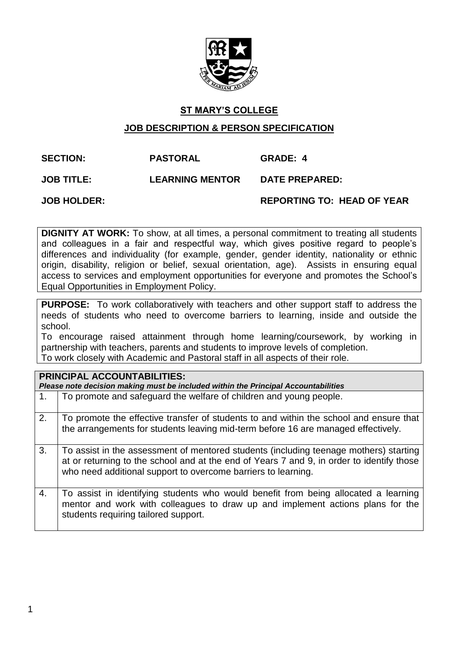

### **ST MARY'S COLLEGE**

#### **JOB DESCRIPTION & PERSON SPECIFICATION**

## **SECTION: PASTORAL GRADE: 4**

**JOB TITLE: LEARNING MENTOR DATE PREPARED:**

**JOB HOLDER: REPORTING TO: HEAD OF YEAR**

**DIGNITY AT WORK:** To show, at all times, a personal commitment to treating all students and colleagues in a fair and respectful way, which gives positive regard to people's differences and individuality (for example, gender, gender identity, nationality or ethnic origin, disability, religion or belief, sexual orientation, age). Assists in ensuring equal access to services and employment opportunities for everyone and promotes the School's Equal Opportunities in Employment Policy.

**PURPOSE:** To work collaboratively with teachers and other support staff to address the needs of students who need to overcome barriers to learning, inside and outside the school.

To encourage raised attainment through home learning/coursework, by working in partnership with teachers, parents and students to improve levels of completion. To work closely with Academic and Pastoral staff in all aspects of their role.

| <b>PRINCIPAL ACCOUNTABILITIES:</b><br>Please note decision making must be included within the Principal Accountabilities |                                                                                                                                                                                                                                                     |  |  |  |  |  |
|--------------------------------------------------------------------------------------------------------------------------|-----------------------------------------------------------------------------------------------------------------------------------------------------------------------------------------------------------------------------------------------------|--|--|--|--|--|
| 1.                                                                                                                       | To promote and safeguard the welfare of children and young people.                                                                                                                                                                                  |  |  |  |  |  |
| 2.                                                                                                                       | To promote the effective transfer of students to and within the school and ensure that<br>the arrangements for students leaving mid-term before 16 are managed effectively.                                                                         |  |  |  |  |  |
| 3.                                                                                                                       | To assist in the assessment of mentored students (including teenage mothers) starting<br>at or returning to the school and at the end of Years 7 and 9, in order to identify those<br>who need additional support to overcome barriers to learning. |  |  |  |  |  |
| 4.                                                                                                                       | To assist in identifying students who would benefit from being allocated a learning<br>mentor and work with colleagues to draw up and implement actions plans for the<br>students requiring tailored support.                                       |  |  |  |  |  |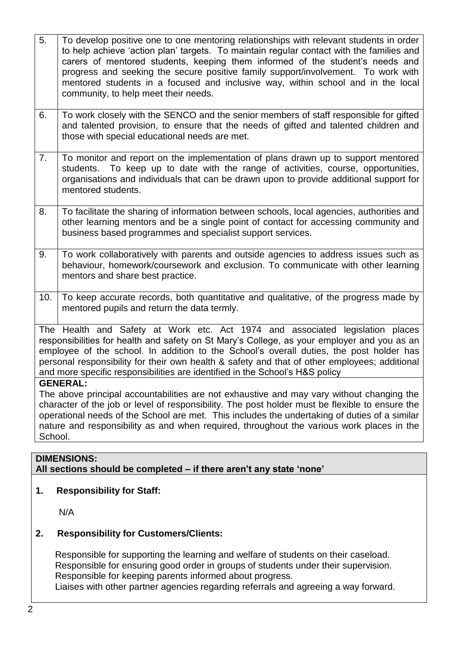- 5. To develop positive one to one mentoring relationships with relevant students in order to help achieve 'action plan' targets. To maintain regular contact with the families and carers of mentored students, keeping them informed of the student's needs and progress and seeking the secure positive family support/involvement. To work with mentored students in a focused and inclusive way, within school and in the local community, to help meet their needs.
- 6.  $\Box$  To work closely with the SENCO and the senior members of staff responsible for gifted and talented provision, to ensure that the needs of gifted and talented children and those with special educational needs are met.
- 7. To monitor and report on the implementation of plans drawn up to support mentored students. To keep up to date with the range of activities, course, opportunities, organisations and individuals that can be drawn upon to provide additional support for mentored students.
- 8. To facilitate the sharing of information between schools, local agencies, authorities and other learning mentors and be a single point of contact for accessing community and business based programmes and specialist support services.
- 9. To work collaboratively with parents and outside agencies to address issues such as behaviour, homework/coursework and exclusion. To communicate with other learning mentors and share best practice.
- 10. To keep accurate records, both quantitative and qualitative, of the progress made by mentored pupils and return the data termly.

The Health and Safety at Work etc. Act 1974 and associated legislation places responsibilities for health and safety on St Mary's College, as your employer and you as an employee of the school. In addition to the School's overall duties, the post holder has personal responsibility for their own health & safety and that of other employees; additional and more specific responsibilities are identified in the School's H&S policy

#### **GENERAL:**

The above principal accountabilities are not exhaustive and may vary without changing the character of the job or level of responsibility. The post holder must be flexible to ensure the operational needs of the School are met. This includes the undertaking of duties of a similar nature and responsibility as and when required, throughout the various work places in the School.

# **DIMENSIONS:**

## **All sections should be completed – if there aren't any state 'none'**

#### **1. Responsibility for Staff:**

N/A

#### **2. Responsibility for Customers/Clients:**

Responsible for supporting the learning and welfare of students on their caseload. Responsible for ensuring good order in groups of students under their supervision. Responsible for keeping parents informed about progress.

Liaises with other partner agencies regarding referrals and agreeing a way forward.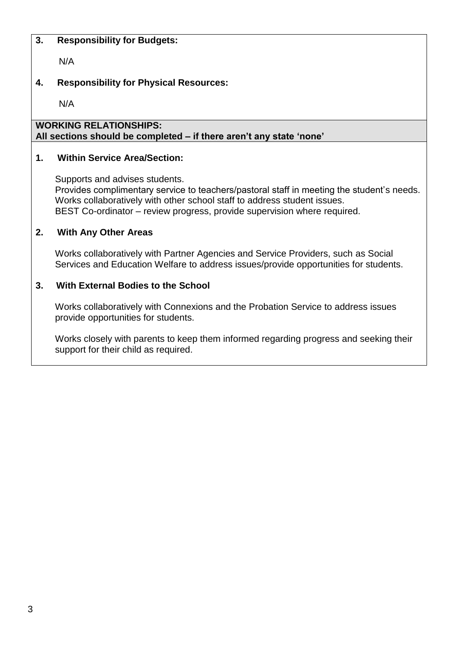#### **3. Responsibility for Budgets:**

N/A

# **4. Responsibility for Physical Resources:**

N/A

#### **WORKING RELATIONSHIPS: All sections should be completed – if there aren't any state 'none'**

#### **1. Within Service Area/Section:**

Supports and advises students. Provides complimentary service to teachers/pastoral staff in meeting the student's needs. Works collaboratively with other school staff to address student issues. BEST Co-ordinator – review progress, provide supervision where required.

#### **2. With Any Other Areas**

Works collaboratively with Partner Agencies and Service Providers, such as Social Services and Education Welfare to address issues/provide opportunities for students.

#### **3. With External Bodies to the School**

Works collaboratively with Connexions and the Probation Service to address issues provide opportunities for students.

Works closely with parents to keep them informed regarding progress and seeking their support for their child as required.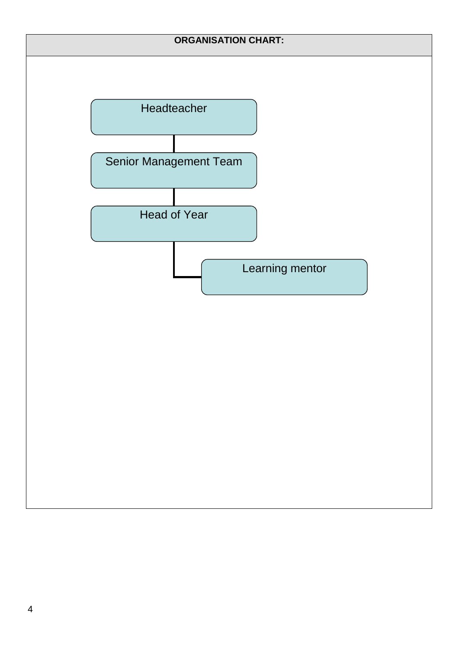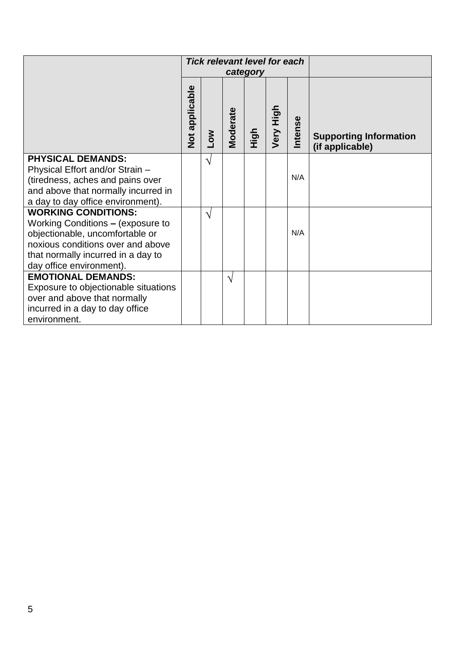|                                      | <b>Tick relevant level for each</b> |               |               |      |           |         |                                                  |
|--------------------------------------|-------------------------------------|---------------|---------------|------|-----------|---------|--------------------------------------------------|
|                                      | category                            |               |               |      |           |         |                                                  |
|                                      | Not applicable                      | <b>MOT</b>    | Moderate      | High | Very High | Intense | <b>Supporting Information</b><br>(if applicable) |
| <b>PHYSICAL DEMANDS:</b>             |                                     | V             |               |      |           |         |                                                  |
| Physical Effort and/or Strain -      |                                     |               |               |      |           |         |                                                  |
| (tiredness, aches and pains over     |                                     |               |               |      |           | N/A     |                                                  |
| and above that normally incurred in  |                                     |               |               |      |           |         |                                                  |
| a day to day office environment).    |                                     |               |               |      |           |         |                                                  |
| <b>WORKING CONDITIONS:</b>           |                                     | $\mathcal{N}$ |               |      |           |         |                                                  |
| Working Conditions - (exposure to    |                                     |               |               |      |           |         |                                                  |
| objectionable, uncomfortable or      |                                     |               |               |      |           | N/A     |                                                  |
| noxious conditions over and above    |                                     |               |               |      |           |         |                                                  |
| that normally incurred in a day to   |                                     |               |               |      |           |         |                                                  |
| day office environment).             |                                     |               |               |      |           |         |                                                  |
| <b>EMOTIONAL DEMANDS:</b>            |                                     |               | $\mathcal{N}$ |      |           |         |                                                  |
| Exposure to objectionable situations |                                     |               |               |      |           |         |                                                  |
| over and above that normally         |                                     |               |               |      |           |         |                                                  |
| incurred in a day to day office      |                                     |               |               |      |           |         |                                                  |
| environment.                         |                                     |               |               |      |           |         |                                                  |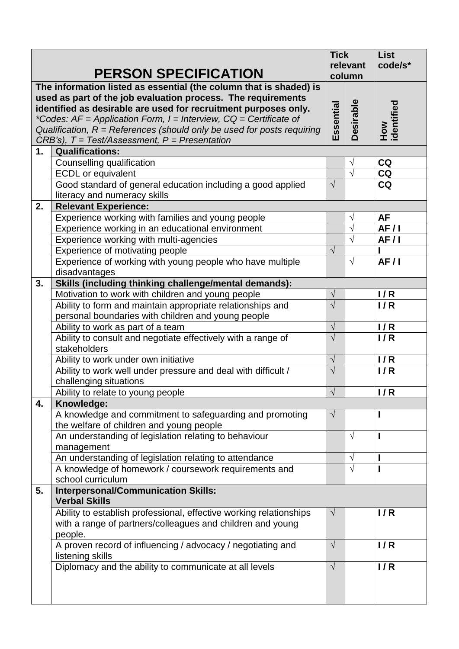|    |                                                                                                                                                                                                                                                                                     | <b>Tick</b><br>relevant |                  | <b>List</b><br>code/s* |
|----|-------------------------------------------------------------------------------------------------------------------------------------------------------------------------------------------------------------------------------------------------------------------------------------|-------------------------|------------------|------------------------|
|    | <b>PERSON SPECIFICATION</b>                                                                                                                                                                                                                                                         | column                  |                  |                        |
|    | The information listed as essential (the column that is shaded) is<br>used as part of the job evaluation process. The requirements<br>identified as desirable are used for recruitment purposes only.<br>*Codes: $AF = Application Form$ , $I = Interview$ , $CQ = Certificance$ of | Essential               | <b>Desirable</b> | How<br>identified      |
|    | Qualification, $R =$ References (should only be used for posts requiring                                                                                                                                                                                                            |                         |                  |                        |
|    | $CRB's$ ), $T = Test/Assessment, P = Presentation$                                                                                                                                                                                                                                  |                         |                  |                        |
| 1. | <b>Qualifications:</b>                                                                                                                                                                                                                                                              |                         |                  |                        |
|    | Counselling qualification                                                                                                                                                                                                                                                           |                         | V                | <b>CQ</b>              |
|    | <b>ECDL</b> or equivalent                                                                                                                                                                                                                                                           |                         | $\sqrt{}$        | CQ                     |
|    | Good standard of general education including a good applied                                                                                                                                                                                                                         | $\sqrt{ }$              |                  | <b>CQ</b>              |
|    | literacy and numeracy skills                                                                                                                                                                                                                                                        |                         |                  |                        |
| 2. | <b>Relevant Experience:</b>                                                                                                                                                                                                                                                         |                         |                  |                        |
|    | Experience working with families and young people                                                                                                                                                                                                                                   |                         | V                | AF                     |
|    | Experience working in an educational environment                                                                                                                                                                                                                                    |                         | $\sqrt{}$        | AF/1                   |
|    | Experience working with multi-agencies                                                                                                                                                                                                                                              |                         | $\sqrt{}$        | AF/I                   |
|    | <b>Experience of motivating people</b>                                                                                                                                                                                                                                              | $\sqrt{ }$              |                  |                        |
|    | Experience of working with young people who have multiple                                                                                                                                                                                                                           |                         | $\sqrt{ }$       | AF/1                   |
|    | disadvantages                                                                                                                                                                                                                                                                       |                         |                  |                        |
| 3. | Skills (including thinking challenge/mental demands):                                                                                                                                                                                                                               |                         |                  |                        |
|    | Motivation to work with children and young people                                                                                                                                                                                                                                   | $\sqrt{ }$              |                  | 1/R                    |
|    | Ability to form and maintain appropriate relationships and                                                                                                                                                                                                                          | $\sqrt{ }$              |                  | 1/R                    |
|    | personal boundaries with children and young people                                                                                                                                                                                                                                  |                         |                  |                        |
|    | Ability to work as part of a team                                                                                                                                                                                                                                                   | $\sqrt{ }$              |                  | 1/R                    |
|    | Ability to consult and negotiate effectively with a range of<br>stakeholders                                                                                                                                                                                                        | $\sqrt{ }$              |                  | 1/R                    |
|    | Ability to work under own initiative                                                                                                                                                                                                                                                | $\sqrt{}$               |                  | 1/R                    |
|    | Ability to work well under pressure and deal with difficult /<br>challenging situations                                                                                                                                                                                             | $\sqrt{ }$              |                  | 1/R                    |
|    | Ability to relate to young people                                                                                                                                                                                                                                                   | $\sqrt{ }$              |                  | 1/R                    |
| 4. | Knowledge:                                                                                                                                                                                                                                                                          |                         |                  |                        |
|    | A knowledge and commitment to safeguarding and promoting                                                                                                                                                                                                                            | $\sqrt{ }$              |                  |                        |
|    | the welfare of children and young people                                                                                                                                                                                                                                            |                         |                  |                        |
|    | An understanding of legislation relating to behaviour                                                                                                                                                                                                                               |                         | V                | ı                      |
|    | management                                                                                                                                                                                                                                                                          |                         |                  |                        |
|    | An understanding of legislation relating to attendance                                                                                                                                                                                                                              |                         | V                |                        |
|    | A knowledge of homework / coursework requirements and                                                                                                                                                                                                                               |                         | $\sqrt{}$        |                        |
|    | school curriculum                                                                                                                                                                                                                                                                   |                         |                  |                        |
| 5. | <b>Interpersonal/Communication Skills:</b><br><b>Verbal Skills</b>                                                                                                                                                                                                                  |                         |                  |                        |
|    | Ability to establish professional, effective working relationships                                                                                                                                                                                                                  | $\sqrt{ }$              |                  | 1/R                    |
|    | with a range of partners/colleagues and children and young<br>people.                                                                                                                                                                                                               |                         |                  |                        |
|    | A proven record of influencing / advocacy / negotiating and<br>listening skills                                                                                                                                                                                                     | $\sqrt{ }$              |                  | 1/R                    |
|    | Diplomacy and the ability to communicate at all levels                                                                                                                                                                                                                              | $\sqrt{ }$              |                  | 1/R                    |
|    |                                                                                                                                                                                                                                                                                     |                         |                  |                        |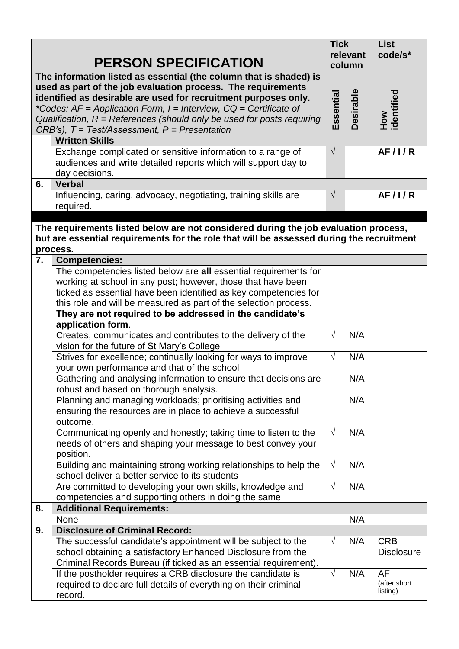|                                                                                                                                                                                                                                                                                                                                                                                                                          |                                                                                                                                                                                             | <b>Tick</b> | relevant | <b>List</b><br>code/s*   |
|--------------------------------------------------------------------------------------------------------------------------------------------------------------------------------------------------------------------------------------------------------------------------------------------------------------------------------------------------------------------------------------------------------------------------|---------------------------------------------------------------------------------------------------------------------------------------------------------------------------------------------|-------------|----------|--------------------------|
|                                                                                                                                                                                                                                                                                                                                                                                                                          | <b>PERSON SPECIFICATION</b>                                                                                                                                                                 |             | column   |                          |
| The information listed as essential (the column that is shaded) is<br>used as part of the job evaluation process. The requirements<br>identified as desirable are used for recruitment purposes only.<br>*Codes: $AF = Application Form$ , $I = Interview$ , $CQ = Certificance$ of<br>Qualification, $R =$ References (should only be used for posts requiring<br>$CRB's$ ), $T = Test/Assessment$ , $P = Presentation$ |                                                                                                                                                                                             |             |          | How<br>identified        |
|                                                                                                                                                                                                                                                                                                                                                                                                                          | <b>Written Skills</b>                                                                                                                                                                       |             |          |                          |
| 6.                                                                                                                                                                                                                                                                                                                                                                                                                       | Exchange complicated or sensitive information to a range of<br>audiences and write detailed reports which will support day to<br>day decisions.<br><b>Verbal</b>                            | $\sqrt{}$   |          | AF/1/R                   |
|                                                                                                                                                                                                                                                                                                                                                                                                                          | Influencing, caring, advocacy, negotiating, training skills are                                                                                                                             | $\sqrt{ }$  |          | AF/1/R                   |
|                                                                                                                                                                                                                                                                                                                                                                                                                          | required.                                                                                                                                                                                   |             |          |                          |
|                                                                                                                                                                                                                                                                                                                                                                                                                          |                                                                                                                                                                                             |             |          |                          |
|                                                                                                                                                                                                                                                                                                                                                                                                                          | The requirements listed below are not considered during the job evaluation process,<br>but are essential requirements for the role that will be assessed during the recruitment<br>process. |             |          |                          |
| 7.                                                                                                                                                                                                                                                                                                                                                                                                                       | <b>Competencies:</b>                                                                                                                                                                        |             |          |                          |
|                                                                                                                                                                                                                                                                                                                                                                                                                          | The competencies listed below are all essential requirements for                                                                                                                            |             |          |                          |
|                                                                                                                                                                                                                                                                                                                                                                                                                          | working at school in any post; however, those that have been                                                                                                                                |             |          |                          |
|                                                                                                                                                                                                                                                                                                                                                                                                                          | ticked as essential have been identified as key competencies for                                                                                                                            |             |          |                          |
|                                                                                                                                                                                                                                                                                                                                                                                                                          | this role and will be measured as part of the selection process.<br>They are not required to be addressed in the candidate's<br>application form.                                           |             |          |                          |
|                                                                                                                                                                                                                                                                                                                                                                                                                          | Creates, communicates and contributes to the delivery of the                                                                                                                                | $\sqrt{ }$  | N/A      |                          |
|                                                                                                                                                                                                                                                                                                                                                                                                                          | vision for the future of St Mary's College                                                                                                                                                  |             |          |                          |
|                                                                                                                                                                                                                                                                                                                                                                                                                          | Strives for excellence; continually looking for ways to improve                                                                                                                             | $\sqrt{ }$  | N/A      |                          |
|                                                                                                                                                                                                                                                                                                                                                                                                                          | your own performance and that of the school                                                                                                                                                 |             |          |                          |
|                                                                                                                                                                                                                                                                                                                                                                                                                          | Gathering and analysing information to ensure that decisions are                                                                                                                            |             | N/A      |                          |
|                                                                                                                                                                                                                                                                                                                                                                                                                          | robust and based on thorough analysis.                                                                                                                                                      |             |          |                          |
|                                                                                                                                                                                                                                                                                                                                                                                                                          | Planning and managing workloads; prioritising activities and<br>ensuring the resources are in place to achieve a successful<br>outcome.                                                     |             | N/A      |                          |
|                                                                                                                                                                                                                                                                                                                                                                                                                          | Communicating openly and honestly; taking time to listen to the<br>needs of others and shaping your message to best convey your<br>position.                                                | $\sqrt{ }$  | N/A      |                          |
|                                                                                                                                                                                                                                                                                                                                                                                                                          | Building and maintaining strong working relationships to help the<br>school deliver a better service to its students                                                                        | $\sqrt{ }$  | N/A      |                          |
|                                                                                                                                                                                                                                                                                                                                                                                                                          | Are committed to developing your own skills, knowledge and                                                                                                                                  | $\sqrt{ }$  | N/A      |                          |
|                                                                                                                                                                                                                                                                                                                                                                                                                          | competencies and supporting others in doing the same                                                                                                                                        |             |          |                          |
| 8.                                                                                                                                                                                                                                                                                                                                                                                                                       | <b>Additional Requirements:</b>                                                                                                                                                             |             |          |                          |
|                                                                                                                                                                                                                                                                                                                                                                                                                          | None                                                                                                                                                                                        |             | N/A      |                          |
| 9.                                                                                                                                                                                                                                                                                                                                                                                                                       | <b>Disclosure of Criminal Record:</b>                                                                                                                                                       |             |          |                          |
|                                                                                                                                                                                                                                                                                                                                                                                                                          | The successful candidate's appointment will be subject to the                                                                                                                               | $\sqrt{}$   | N/A      | <b>CRB</b>               |
|                                                                                                                                                                                                                                                                                                                                                                                                                          | school obtaining a satisfactory Enhanced Disclosure from the                                                                                                                                |             |          | <b>Disclosure</b>        |
|                                                                                                                                                                                                                                                                                                                                                                                                                          | Criminal Records Bureau (if ticked as an essential requirement).                                                                                                                            |             |          |                          |
|                                                                                                                                                                                                                                                                                                                                                                                                                          | If the postholder requires a CRB disclosure the candidate is                                                                                                                                | $\sqrt{ }$  | N/A      | <b>AF</b>                |
|                                                                                                                                                                                                                                                                                                                                                                                                                          | required to declare full details of everything on their criminal                                                                                                                            |             |          | (after short<br>listing) |
|                                                                                                                                                                                                                                                                                                                                                                                                                          | record.                                                                                                                                                                                     |             |          |                          |